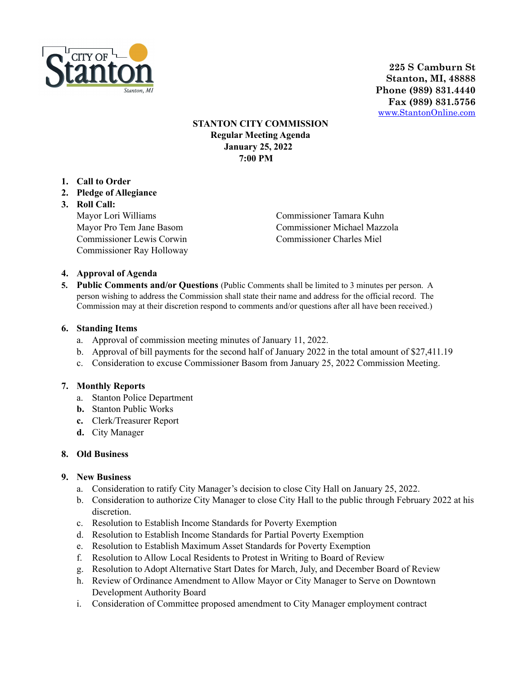

**225 S Camburn St Stanton, MI, 48888 Phone (989) 831.4440 Fax (989) 831.5756** [www.StantonOnline.com](http://www.stantononline.com)

## **STANTON CITY COMMISSION Regular Meeting Agenda January 25, 2022 7:00 PM**

- **1. Call to Order**
- **2. Pledge of Allegiance**
- **3. Roll Call:** Mayor Lori Williams Mayor Pro Tem Jane Basom Commissioner Lewis Corwin Commissioner Ray Holloway

Commissioner Tamara Kuhn Commissioner Michael Mazzola Commissioner Charles Miel

## **4. Approval of Agenda**

**5. Public Comments and/or Questions** (Public Comments shall be limited to 3 minutes per person. A person wishing to address the Commission shall state their name and address for the official record. The Commission may at their discretion respond to comments and/or questions after all have been received.)

#### **6. Standing Items**

- a. Approval of commission meeting minutes of January 11, 2022.
- b. Approval of bill payments for the second half of January 2022 in the total amount of \$27,411.19
- c. Consideration to excuse Commissioner Basom from January 25, 2022 Commission Meeting.

#### **7. Monthly Reports**

- a. Stanton Police Department
- **b.** Stanton Public Works
- **c.** Clerk/Treasurer Report
- **d.** City Manager

#### **8. Old Business**

# **9. New Business**

- a. Consideration to ratify City Manager's decision to close City Hall on January 25, 2022.
- b. Consideration to authorize City Manager to close City Hall to the public through February 2022 at his discretion.
- c. Resolution to Establish Income Standards for Poverty Exemption
- d. Resolution to Establish Income Standards for Partial Poverty Exemption
- e. Resolution to Establish Maximum Asset Standards for Poverty Exemption
- f. Resolution to Allow Local Residents to Protest in Writing to Board of Review
- g. Resolution to Adopt Alternative Start Dates for March, July, and December Board of Review
- h. Review of Ordinance Amendment to Allow Mayor or City Manager to Serve on Downtown Development Authority Board
- i. Consideration of Committee proposed amendment to City Manager employment contract